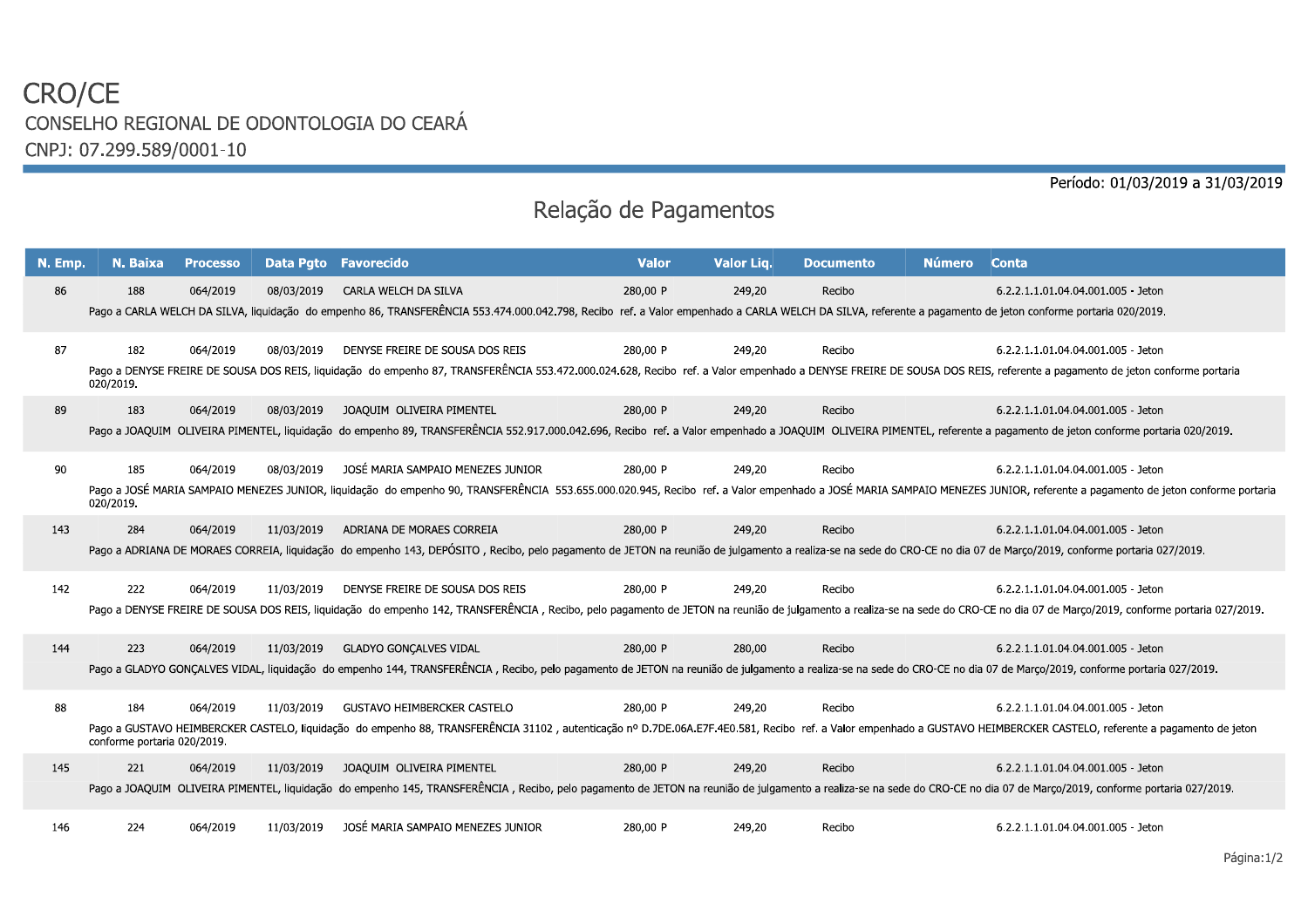## CRO/CE CONSELHO REGIONAL DE ODONTOLOGIA DO CEARÁ CNPJ: 07.299.589/0001-10

Período: 01/03/2019 a 31/03/2019

## Relação de Pagamentos

| N. Emp. | N. Baixa                           | <b>Processo</b> |            | Data Pgto Favorecido                                                                                                                                                                                                                                              | <b>Valor</b> | Valor Lig. | <b>Documento</b> | <b>Número</b> | Conta                                                                                                                                                                                                                                                            |
|---------|------------------------------------|-----------------|------------|-------------------------------------------------------------------------------------------------------------------------------------------------------------------------------------------------------------------------------------------------------------------|--------------|------------|------------------|---------------|------------------------------------------------------------------------------------------------------------------------------------------------------------------------------------------------------------------------------------------------------------------|
| 86      | 188                                | 064/2019        | 08/03/2019 | CARLA WELCH DA SILVA<br>Pago a CARLA WELCH DA SILVA, liquidação do empenho 86, TRANSFERÊNCIA 553.474.000.042.798, Recibo ref. a Valor empenhado a CARLA WELCH DA SILVA, referente a pagamento de jeton conforme portaria 020/2019.                                | 280,00 P     | 249,20     | Recibo           |               | 6.2.2.1.1.01.04.04.001.005 - Jeton                                                                                                                                                                                                                               |
| 87      | 182<br>020/2019.                   | 064/2019        | 08/03/2019 | DENYSE FREIRE DE SOUSA DOS REIS<br>Pago a DENYSE FREIRE DE SOUSA DOS REIS, liquidação do empenho 87, TRANSFERÊNCIA 553.472.000.024.628, Recibo ref. a Valor empenhado a DENYSE FREIRE DE SOUSA DOS REIS, referente a pagamento de jeton conforme portaria         | 280.00 P     | 249,20     | Recibo           |               | 6.2.2.1.1.01.04.04.001.005 - Jeton                                                                                                                                                                                                                               |
| 89      | 183                                | 064/2019        | 08/03/2019 | JOAQUIM OLIVEIRA PIMENTEL<br>Pago a JOAQUIM OLIVEIRA PIMENTEL, liquidação do empenho 89, TRANSFERÊNCIA 552.917.000.042.696, Recibo ref. a Valor empenhado a JOAQUIM OLIVEIRA PIMENTEL, referente a pagamento de jeton conforme portaria 020/2019.                 | 280,00 P     | 249,20     | Recibo           |               | 6.2.2.1.1.01.04.04.001.005 - Jeton                                                                                                                                                                                                                               |
| 90      | 185<br>020/2019.                   | 064/2019        | 08/03/2019 | JOSÉ MARIA SAMPAIO MENEZES JUNIOR                                                                                                                                                                                                                                 | 280,00 P     | 249,20     | Recibo           |               | 6.2.2.1.1.01.04.04.001.005 - Jeton<br>Pago a JOSÉ MARIA SAMPAIO MENEZES JUNIOR, liquidação do empenho 90, TRANSFERÊNCIA 553.655.000.020.945, Recibo ref. a Valor empenhado a JOSÉ MARIA SAMPAIO MENEZES JUNIOR, referente a pagamento de jeton conforme portaria |
| 143     | 284                                | 064/2019        | 11/03/2019 | ADRIANA DE MORAES CORREIA<br>Pago a ADRIANA DE MORAES CORREIA, liquidação do empenho 143, DEPÓSITO, Recibo, pelo pagamento de JETON na reunião de julgamento a realiza-se na sede do CRO-CE no dia 07 de Março/2019, conforme portaria 027/2019.                  | 280,00 P     | 249,20     | Recibo           |               | 6.2.2.1.1.01.04.04.001.005 - Jeton                                                                                                                                                                                                                               |
| 142     | 222                                | 064/2019        | 11/03/2019 | DENYSE FREIRE DE SOUSA DOS REIS<br>Pago a DENYSE FREIRE DE SOUSA DOS REIS, liquidação do empenho 142, TRANSFERÊNCIA, Recibo, pelo pagamento de JETON na reunião de julgamento a realiza-se na sede do CRO-CE no dia 07 de Março/2019, conforme portaria 027/2019. | 280,00 P     | 249,20     | Recibo           |               | 6.2.2.1.1.01.04.04.001.005 - Jeton                                                                                                                                                                                                                               |
| 144     | 223                                | 064/2019        | 11/03/2019 | <b>GLADYO GONCALVES VIDAL</b><br>Pago a GLADYO GONCALVES VIDAL, liquidação do empenho 144, TRANSFERÊNCIA, Recibo, pelo pagamento de JETON na reunião de julgamento a realiza-se na sede do CRO-CE no dia 07 de Marco/2019, conforme portaria 027/2019.            | 280,00 P     | 280,00     | Recibo           |               | 6.2.2.1.1.01.04.04.001.005 - Jeton                                                                                                                                                                                                                               |
| 88      | 184<br>conforme portaria 020/2019. | 064/2019        | 11/03/2019 | <b>GUSTAVO HEIMBERCKER CASTELO</b><br>Pago a GUSTAVO HEIMBERCKER CASTELO, liquidação do empenho 88, TRANSFERÊNCIA 31102, autenticação nº D.7DE.06A.E7F.4E0.581, Recibo ref. a Valor empenhado a GUSTAVO HEIMBERCKER CASTELO, referente a pagamento de jeton       | 280,00 P     | 249,20     | Recibo           |               | 6.2.2.1.1.01.04.04.001.005 - Jeton                                                                                                                                                                                                                               |
| 145     | 221                                | 064/2019        | 11/03/2019 | JOAQUIM OLIVEIRA PIMENTEL<br>Pago a JOAQUIM OLIVEIRA PIMENTEL, liquidação do empenho 145, TRANSFERÊNCIA, Recibo, pelo pagamento de JETON na reunião de julgamento a realiza-se na sede do CRO-CE no dia 07 de Março/2019, conforme portaria 027/2019.             | 280,00 P     | 249,20     | Recibo           |               | 6.2.2.1.1.01.04.04.001.005 - Jeton                                                                                                                                                                                                                               |
| 146     | 224                                | 064/2019        | 11/03/2019 | JOSÉ MARIA SAMPAIO MENEZES JUNIOR                                                                                                                                                                                                                                 | 280,00 P     | 249,20     | Recibo           |               | 6.2.2.1.1.01.04.04.001.005 - Jeton                                                                                                                                                                                                                               |